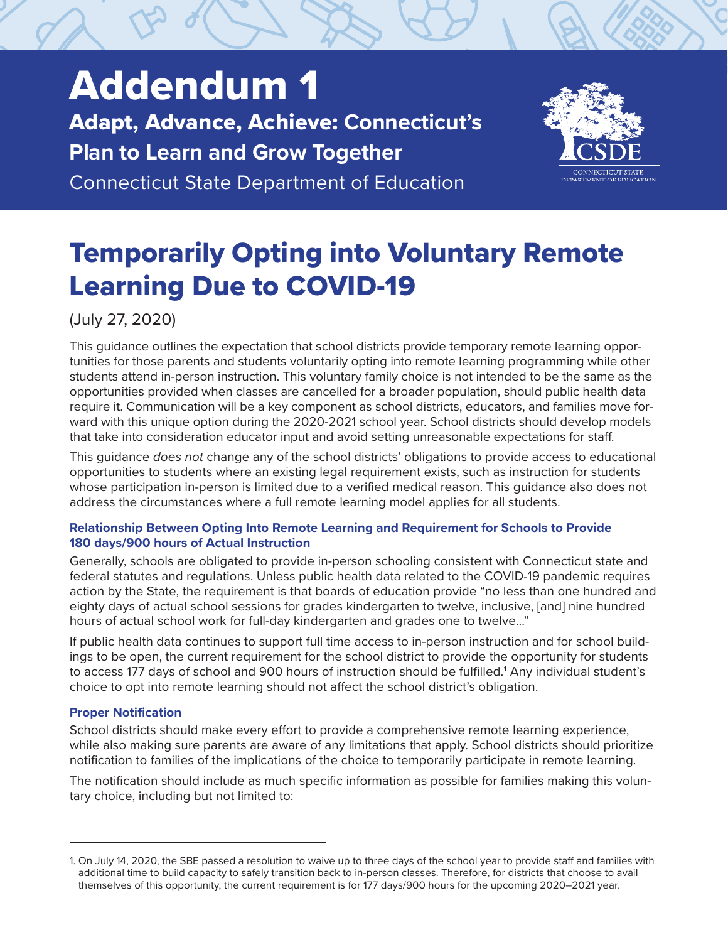# Addendum 1 Adapt, Advance, Achieve: **Connecticut's Plan to Learn and Grow Together** Connecticut State Department of Education



# Temporarily Opting into Voluntary Remote Learning Due to COVID-19

(July 27, 2020)

This guidance outlines the expectation that school districts provide temporary remote learning opportunities for those parents and students voluntarily opting into remote learning programming while other students attend in-person instruction. This voluntary family choice is not intended to be the same as the opportunities provided when classes are cancelled for a broader population, should public health data require it. Communication will be a key component as school districts, educators, and families move forward with this unique option during the 2020-2021 school year. School districts should develop models that take into consideration educator input and avoid setting unreasonable expectations for staff.

This guidance *does not* change any of the school districts' obligations to provide access to educational opportunities to students where an existing legal requirement exists, such as instruction for students whose participation in-person is limited due to a verified medical reason. This guidance also does not address the circumstances where a full remote learning model applies for all students.

# **Relationship Between Opting Into Remote Learning and Requirement for Schools to Provide 180 days/900 hours of Actual Instruction**

Generally, schools are obligated to provide in-person schooling consistent with Connecticut state and federal statutes and regulations. Unless public health data related to the COVID-19 pandemic requires action by the State, the requirement is that boards of education provide "no less than one hundred and eighty days of actual school sessions for grades kindergarten to twelve, inclusive, [and] nine hundred hours of actual school work for full-day kindergarten and grades one to twelve..."

If public health data continues to support full time access to in-person instruction and for school buildings to be open, the current requirement for the school district to provide the opportunity for students to access 177 days of school and 900 hours of instruction should be fulfilled.<sup>1</sup> Any individual student's choice to opt into remote learning should not affect the school district's obligation.

# **Proper Notification**

School districts should make every effort to provide a comprehensive remote learning experience, while also making sure parents are aware of any limitations that apply. School districts should prioritize notification to families of the implications of the choice to temporarily participate in remote learning.

The notification should include as much specific information as possible for families making this voluntary choice, including but not limited to:

<sup>1.</sup> On July 14, 2020, the SBE passed a resolution to waive up to three days of the school year to provide staff and families with additional time to build capacity to safely transition back to in-person classes. Therefore, for districts that choose to avail themselves of this opportunity, the current requirement is for 177 days/900 hours for the upcoming 2020–2021 year.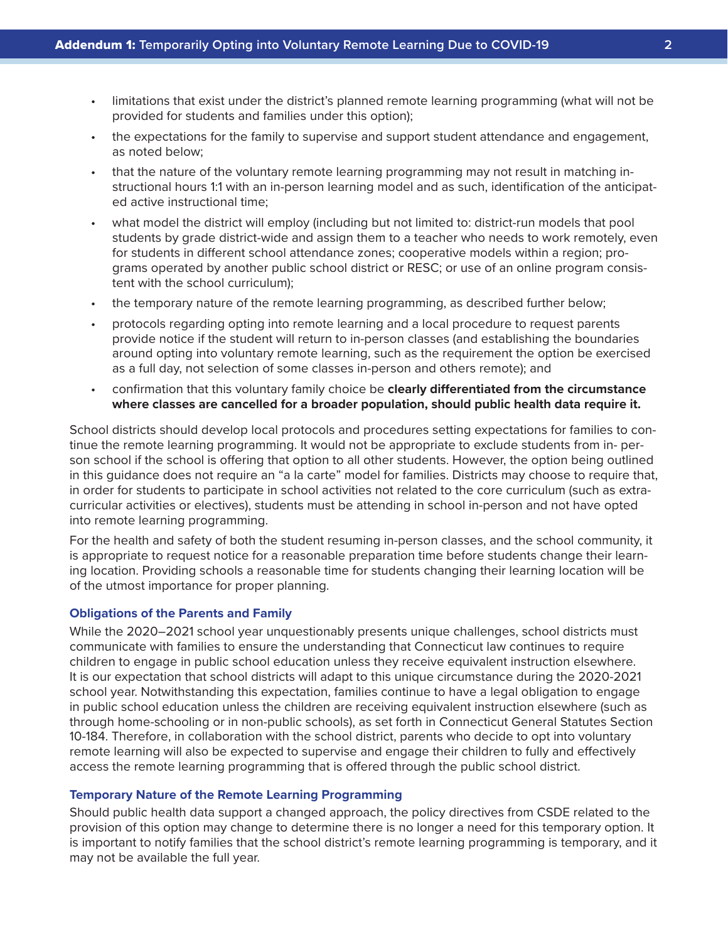- limitations that exist under the district's planned remote learning programming (what will not be provided for students and families under this option);
- the expectations for the family to supervise and support student attendance and engagement, as noted below;
- that the nature of the voluntary remote learning programming may not result in matching instructional hours 1:1 with an in-person learning model and as such, identification of the anticipated active instructional time;
- what model the district will employ (including but not limited to: district-run models that pool students by grade district-wide and assign them to a teacher who needs to work remotely, even for students in different school attendance zones; cooperative models within a region; programs operated by another public school district or RESC; or use of an online program consistent with the school curriculum);
- the temporary nature of the remote learning programming, as described further below;
- protocols regarding opting into remote learning and a local procedure to request parents provide notice if the student will return to in-person classes (and establishing the boundaries around opting into voluntary remote learning, such as the requirement the option be exercised as a full day, not selection of some classes in-person and others remote); and
- confirmation that this voluntary family choice be **clearly differentiated from the circumstance where classes are cancelled for a broader population, should public health data require it.**

School districts should develop local protocols and procedures setting expectations for families to continue the remote learning programming. It would not be appropriate to exclude students from in- person school if the school is offering that option to all other students. However, the option being outlined in this guidance does not require an "a la carte" model for families. Districts may choose to require that, in order for students to participate in school activities not related to the core curriculum (such as extracurricular activities or electives), students must be attending in school in-person and not have opted into remote learning programming.

For the health and safety of both the student resuming in-person classes, and the school community, it is appropriate to request notice for a reasonable preparation time before students change their learning location. Providing schools a reasonable time for students changing their learning location will be of the utmost importance for proper planning.

## **Obligations of the Parents and Family**

While the 2020–2021 school year unquestionably presents unique challenges, school districts must communicate with families to ensure the understanding that Connecticut law continues to require children to engage in public school education unless they receive equivalent instruction elsewhere. It is our expectation that school districts will adapt to this unique circumstance during the 2020-2021 school year. Notwithstanding this expectation, families continue to have a legal obligation to engage in public school education unless the children are receiving equivalent instruction elsewhere (such as through home-schooling or in non-public schools), as set forth in Connecticut General Statutes Section 10-184. Therefore, in collaboration with the school district, parents who decide to opt into voluntary remote learning will also be expected to supervise and engage their children to fully and effectively access the remote learning programming that is offered through the public school district.

## **Temporary Nature of the Remote Learning Programming**

Should public health data support a changed approach, the policy directives from CSDE related to the provision of this option may change to determine there is no longer a need for this temporary option. It is important to notify families that the school district's remote learning programming is temporary, and it may not be available the full year.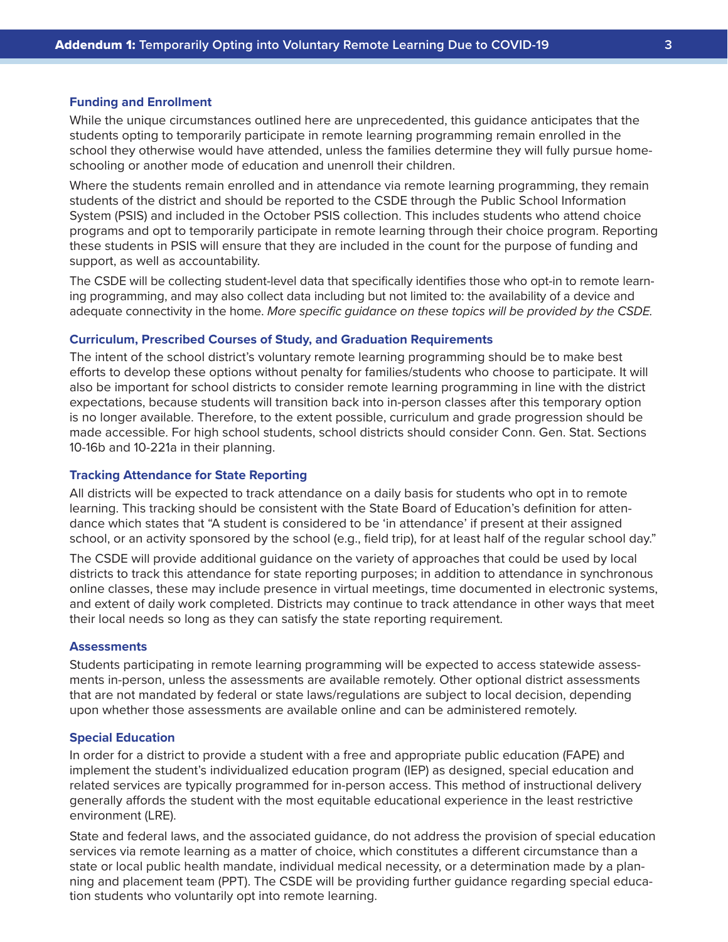#### **Funding and Enrollment**

While the unique circumstances outlined here are unprecedented, this guidance anticipates that the students opting to temporarily participate in remote learning programming remain enrolled in the school they otherwise would have attended, unless the families determine they will fully pursue homeschooling or another mode of education and unenroll their children.

Where the students remain enrolled and in attendance via remote learning programming, they remain students of the district and should be reported to the CSDE through the Public School Information System (PSIS) and included in the October PSIS collection. This includes students who attend choice programs and opt to temporarily participate in remote learning through their choice program. Reporting these students in PSIS will ensure that they are included in the count for the purpose of funding and support, as well as accountability.

The CSDE will be collecting student-level data that specifically identifies those who opt-in to remote learning programming, and may also collect data including but not limited to: the availability of a device and adequate connectivity in the home. *More specific guidance on these topics will be provided by the CSDE.*

### **Curriculum, Prescribed Courses of Study, and Graduation Requirements**

The intent of the school district's voluntary remote learning programming should be to make best efforts to develop these options without penalty for families/students who choose to participate. It will also be important for school districts to consider remote learning programming in line with the district expectations, because students will transition back into in-person classes after this temporary option is no longer available. Therefore, to the extent possible, curriculum and grade progression should be made accessible. For high school students, school districts should consider Conn. Gen. Stat. Sections 10-16b and 10-221a in their planning.

#### **Tracking Attendance for State Reporting**

All districts will be expected to track attendance on a daily basis for students who opt in to remote learning. This tracking should be consistent with the State Board of Education's definition for attendance which states that "A student is considered to be 'in attendance' if present at their assigned school, or an activity sponsored by the school (e.g., field trip), for at least half of the regular school day."

The CSDE will provide additional guidance on the variety of approaches that could be used by local districts to track this attendance for state reporting purposes; in addition to attendance in synchronous online classes, these may include presence in virtual meetings, time documented in electronic systems, and extent of daily work completed. Districts may continue to track attendance in other ways that meet their local needs so long as they can satisfy the state reporting requirement.

### **Assessments**

Students participating in remote learning programming will be expected to access statewide assessments in-person, unless the assessments are available remotely. Other optional district assessments that are not mandated by federal or state laws/regulations are subject to local decision, depending upon whether those assessments are available online and can be administered remotely.

#### **Special Education**

In order for a district to provide a student with a free and appropriate public education (FAPE) and implement the student's individualized education program (IEP) as designed, special education and related services are typically programmed for in-person access. This method of instructional delivery generally affords the student with the most equitable educational experience in the least restrictive environment (LRE).

State and federal laws, and the associated guidance, do not address the provision of special education services via remote learning as a matter of choice, which constitutes a different circumstance than a state or local public health mandate, individual medical necessity, or a determination made by a planning and placement team (PPT). The CSDE will be providing further guidance regarding special education students who voluntarily opt into remote learning.